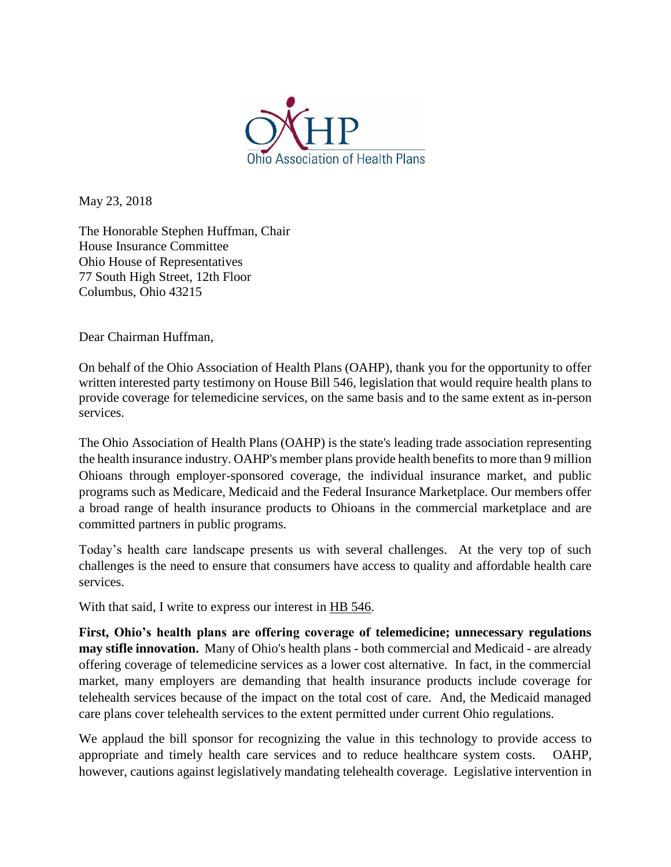

May 23, 2018

The Honorable Stephen Huffman, Chair House Insurance Committee Ohio House of Representatives 77 South High Street, 12th Floor Columbus, Ohio 43215

Dear Chairman Huffman,

On behalf of the Ohio Association of Health Plans (OAHP), thank you for the opportunity to offer written interested party testimony on House Bill 546, legislation that would require health plans to provide coverage for telemedicine services, on the same basis and to the same extent as in-person services.

The Ohio Association of Health Plans (OAHP) is the state's leading trade association representing the health insurance industry. OAHP's member plans provide health benefits to more than 9 million Ohioans through employer-sponsored coverage, the individual insurance market, and public programs such as Medicare, Medicaid and the Federal Insurance Marketplace. Our members offer a broad range of health insurance products to Ohioans in the commercial marketplace and are committed partners in public programs.

Today's health care landscape presents us with several challenges. At the very top of such challenges is the need to ensure that consumers have access to quality and affordable health care services.

With that said, I write to express our interest in HB 546.

**First, Ohio's health plans are offering coverage of telemedicine; unnecessary regulations may stifle innovation.** Many of Ohio's health plans - both commercial and Medicaid - are already offering coverage of telemedicine services as a lower cost alternative. In fact, in the commercial market, many employers are demanding that health insurance products include coverage for telehealth services because of the impact on the total cost of care. And, the Medicaid managed care plans cover telehealth services to the extent permitted under current Ohio regulations.

We applaud the bill sponsor for recognizing the value in this technology to provide access to appropriate and timely health care services and to reduce healthcare system costs. OAHP, however, cautions against legislatively mandating telehealth coverage. Legislative intervention in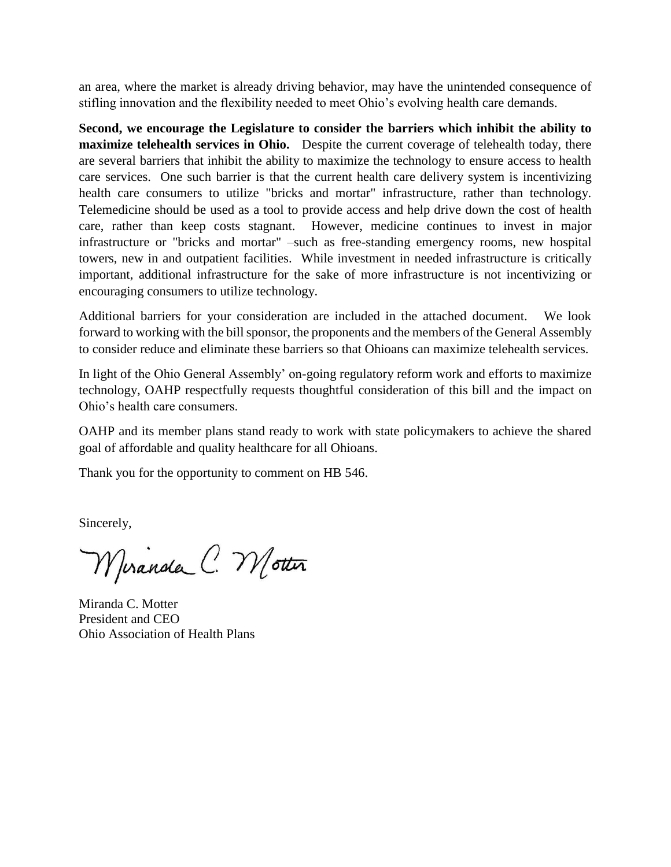an area, where the market is already driving behavior, may have the unintended consequence of stifling innovation and the flexibility needed to meet Ohio's evolving health care demands.

**Second, we encourage the Legislature to consider the barriers which inhibit the ability to maximize telehealth services in Ohio.** Despite the current coverage of telehealth today, there are several barriers that inhibit the ability to maximize the technology to ensure access to health care services. One such barrier is that the current health care delivery system is incentivizing health care consumers to utilize "bricks and mortar" infrastructure, rather than technology. Telemedicine should be used as a tool to provide access and help drive down the cost of health care, rather than keep costs stagnant. However, medicine continues to invest in major infrastructure or "bricks and mortar" –such as free-standing emergency rooms, new hospital towers, new in and outpatient facilities. While investment in needed infrastructure is critically important, additional infrastructure for the sake of more infrastructure is not incentivizing or encouraging consumers to utilize technology.

Additional barriers for your consideration are included in the attached document. We look forward to working with the bill sponsor, the proponents and the members of the General Assembly to consider reduce and eliminate these barriers so that Ohioans can maximize telehealth services.

In light of the Ohio General Assembly' on-going regulatory reform work and efforts to maximize technology, OAHP respectfully requests thoughtful consideration of this bill and the impact on Ohio's health care consumers.

OAHP and its member plans stand ready to work with state policymakers to achieve the shared goal of affordable and quality healthcare for all Ohioans.

Thank you for the opportunity to comment on HB 546.

Sincerely,

Miranda C. Motter

Miranda C. Motter President and CEO Ohio Association of Health Plans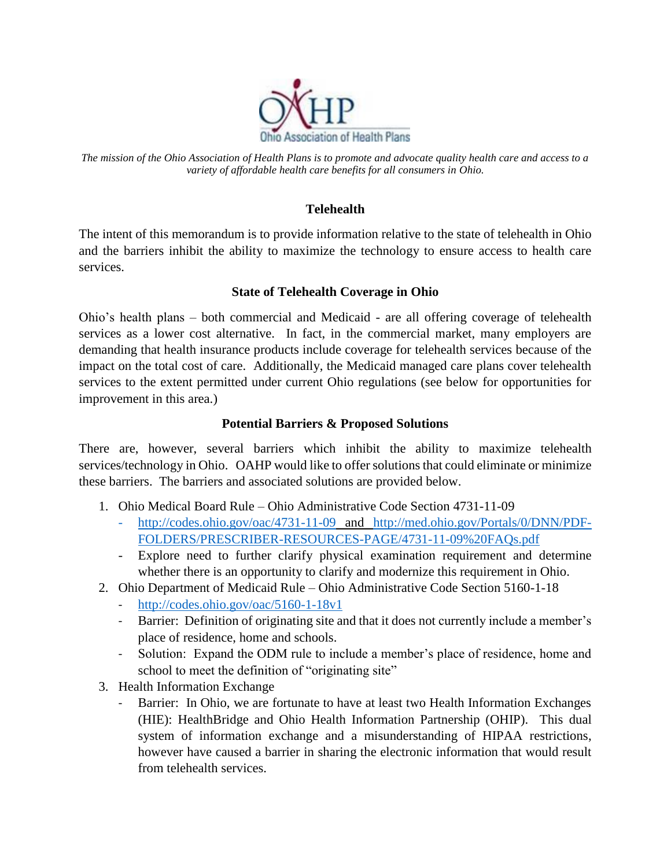

*The mission of the Ohio Association of Health Plans is to promote and advocate quality health care and access to a variety of affordable health care benefits for all consumers in Ohio.*

## **Telehealth**

The intent of this memorandum is to provide information relative to the state of telehealth in Ohio and the barriers inhibit the ability to maximize the technology to ensure access to health care services.

## **State of Telehealth Coverage in Ohio**

Ohio's health plans – both commercial and Medicaid - are all offering coverage of telehealth services as a lower cost alternative. In fact, in the commercial market, many employers are demanding that health insurance products include coverage for telehealth services because of the impact on the total cost of care. Additionally, the Medicaid managed care plans cover telehealth services to the extent permitted under current Ohio regulations (see below for opportunities for improvement in this area.)

## **Potential Barriers & Proposed Solutions**

There are, however, several barriers which inhibit the ability to maximize telehealth services/technology in Ohio. OAHP would like to offer solutions that could eliminate or minimize these barriers. The barriers and associated solutions are provided below.

- 1. Ohio Medical Board Rule Ohio Administrative Code Section 4731-11-09
	- <http://codes.ohio.gov/oac/4731-11-09> and [http://med.ohio.gov/Portals/0/DNN/PDF-](http://med.ohio.gov/Portals/0/DNN/PDF-FOLDERS/PRESCRIBER-RESOURCES-PAGE/4731-11-09%20FAQs.pdf)[FOLDERS/PRESCRIBER-RESOURCES-PAGE/4731-11-09%20FAQs.pdf](http://med.ohio.gov/Portals/0/DNN/PDF-FOLDERS/PRESCRIBER-RESOURCES-PAGE/4731-11-09%20FAQs.pdf)
	- Explore need to further clarify physical examination requirement and determine whether there is an opportunity to clarify and modernize this requirement in Ohio.
- 2. Ohio Department of Medicaid Rule Ohio Administrative Code Section 5160-1-18
	- <http://codes.ohio.gov/oac/5160-1-18v1>
	- Barrier: Definition of originating site and that it does not currently include a member's place of residence, home and schools.
	- Solution: Expand the ODM rule to include a member's place of residence, home and school to meet the definition of "originating site"
- 3. Health Information Exchange
	- Barrier: In Ohio, we are fortunate to have at least two Health Information Exchanges (HIE): HealthBridge and Ohio Health Information Partnership (OHIP). This dual system of information exchange and a misunderstanding of HIPAA restrictions, however have caused a barrier in sharing the electronic information that would result from telehealth services.